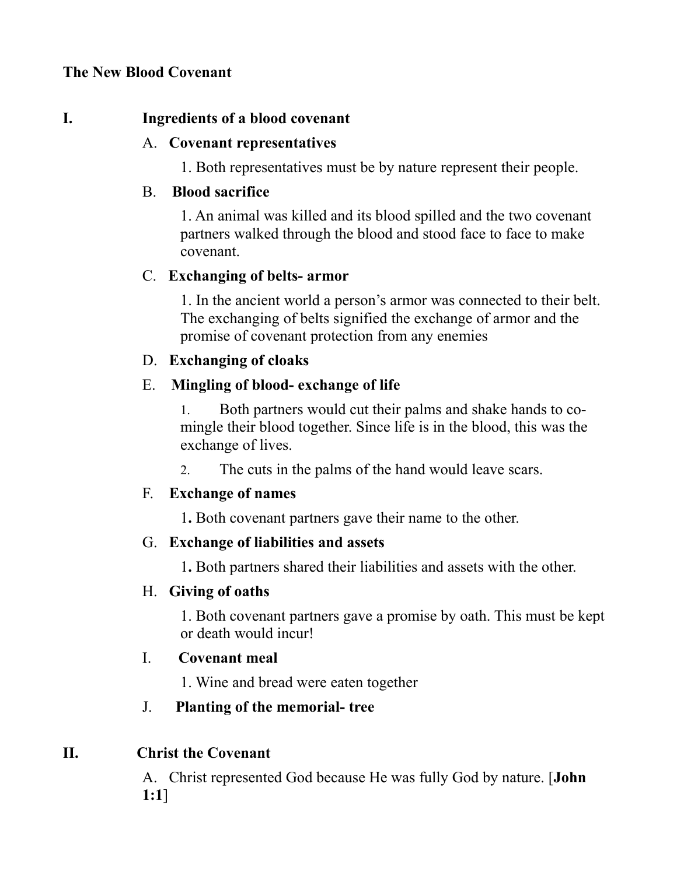### **The New Blood Covenant**

#### **I. Ingredients of a blood covenant**

#### A. **Covenant representatives**

1. Both representatives must be by nature represent their people.

#### B. **Blood sacrifice**

1. An animal was killed and its blood spilled and the two covenant partners walked through the blood and stood face to face to make covenant.

#### C. **Exchanging of belts- armor**

1. In the ancient world a person's armor was connected to their belt. The exchanging of belts signified the exchange of armor and the promise of covenant protection from any enemies

### D. **Exchanging of cloaks**

#### E. **Mingling of blood- exchange of life**

1. Both partners would cut their palms and shake hands to comingle their blood together. Since life is in the blood, this was the exchange of lives.

2. The cuts in the palms of the hand would leave scars.

### F. **Exchange of names**

1**.** Both covenant partners gave their name to the other.

### G. **Exchange of liabilities and assets**

1**.** Both partners shared their liabilities and assets with the other.

### H. **Giving of oaths**

1. Both covenant partners gave a promise by oath. This must be kept or death would incur!

### I. **Covenant meal**

1. Wine and bread were eaten together

# J. **Planting of the memorial- tree**

### **II. Christ the Covenant**

A. Christ represented God because He was fully God by nature. [**John 1:1**]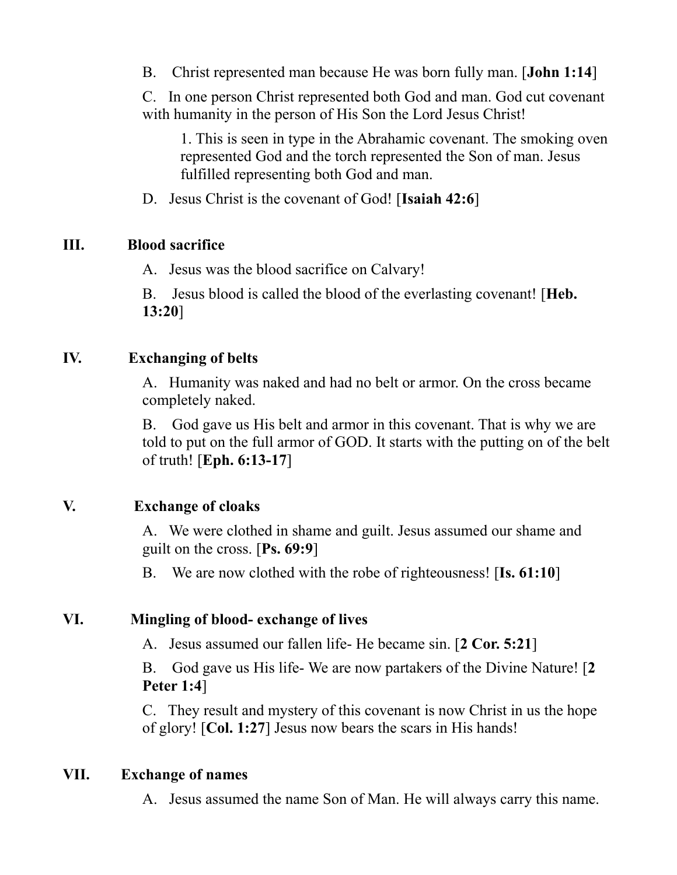B. Christ represented man because He was born fully man. [**John 1:14**]

C. In one person Christ represented both God and man. God cut covenant with humanity in the person of His Son the Lord Jesus Christ!

1. This is seen in type in the Abrahamic covenant. The smoking oven represented God and the torch represented the Son of man. Jesus fulfilled representing both God and man.

D. Jesus Christ is the covenant of God! [**Isaiah 42:6**]

## **III. Blood sacrifice**

A. Jesus was the blood sacrifice on Calvary!

B. Jesus blood is called the blood of the everlasting covenant! [**Heb. 13:20**]

## **IV. Exchanging of belts**

A. Humanity was naked and had no belt or armor. On the cross became completely naked.

B. God gave us His belt and armor in this covenant. That is why we are told to put on the full armor of GOD. It starts with the putting on of the belt of truth! [**Eph. 6:13-17**]

# **V. Exchange of cloaks**

A. We were clothed in shame and guilt. Jesus assumed our shame and guilt on the cross. [**Ps. 69:9**]

B. We are now clothed with the robe of righteousness! [**Is. 61:10**]

# **VI. Mingling of blood- exchange of lives**

A. Jesus assumed our fallen life- He became sin. [**2 Cor. 5:21**]

B. God gave us His life- We are now partakers of the Divine Nature! [**2 Peter 1:4**]

C. They result and mystery of this covenant is now Christ in us the hope of glory! [**Col. 1:27**] Jesus now bears the scars in His hands!

### **VII. Exchange of names**

A. Jesus assumed the name Son of Man. He will always carry this name.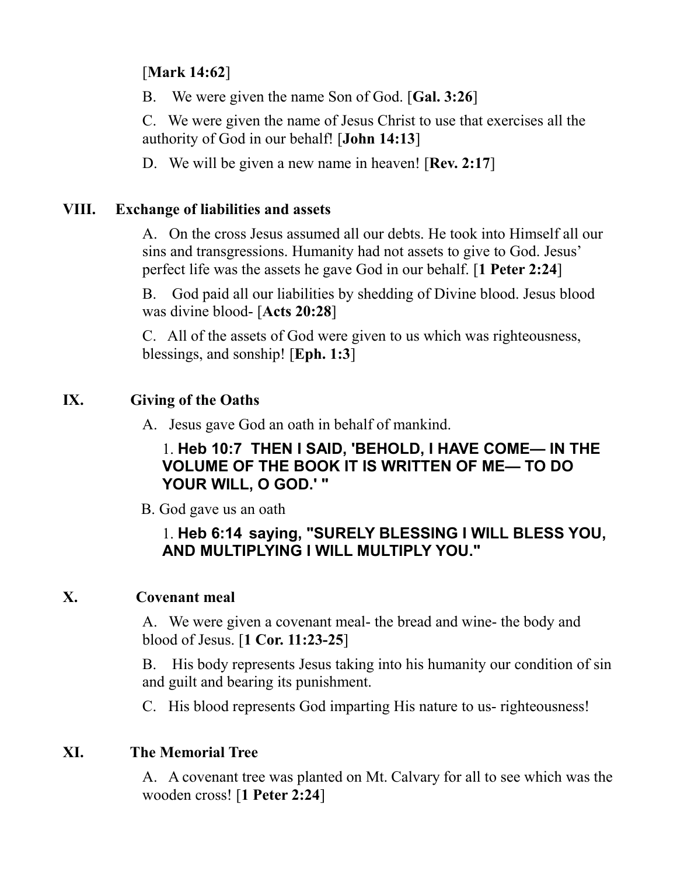# [**Mark 14:62**]

B. We were given the name Son of God. [**Gal. 3:26**]

C. We were given the name of Jesus Christ to use that exercises all the authority of God in our behalf! [**John 14:13**]

D. We will be given a new name in heaven! [**Rev. 2:17**]

## **VIII. Exchange of liabilities and assets**

A. On the cross Jesus assumed all our debts. He took into Himself all our sins and transgressions. Humanity had not assets to give to God. Jesus' perfect life was the assets he gave God in our behalf. [**1 Peter 2:24**]

B. God paid all our liabilities by shedding of Divine blood. Jesus blood was divine blood- [**Acts 20:28**]

C. All of the assets of God were given to us which was righteousness, blessings, and sonship! [**Eph. 1:3**]

# **IX. Giving of the Oaths**

A. Jesus gave God an oath in behalf of mankind.

## 1. **Heb 10:7 THEN I SAID, 'BEHOLD, I HAVE COME— IN THE VOLUME OF THE BOOK IT IS WRITTEN OF ME— TO DO YOUR WILL, O GOD.' "**

B. God gave us an oath

# 1. **Heb 6:14 saying, "SURELY BLESSING I WILL BLESS YOU, AND MULTIPLYING I WILL MULTIPLY YOU."**

# **X. Covenant meal**

A. We were given a covenant meal- the bread and wine- the body and blood of Jesus. [**1 Cor. 11:23-25**]

B. His body represents Jesus taking into his humanity our condition of sin and guilt and bearing its punishment.

C. His blood represents God imparting His nature to us- righteousness!

# **XI. The Memorial Tree**

A. A covenant tree was planted on Mt. Calvary for all to see which was the wooden cross! [**1 Peter 2:24**]